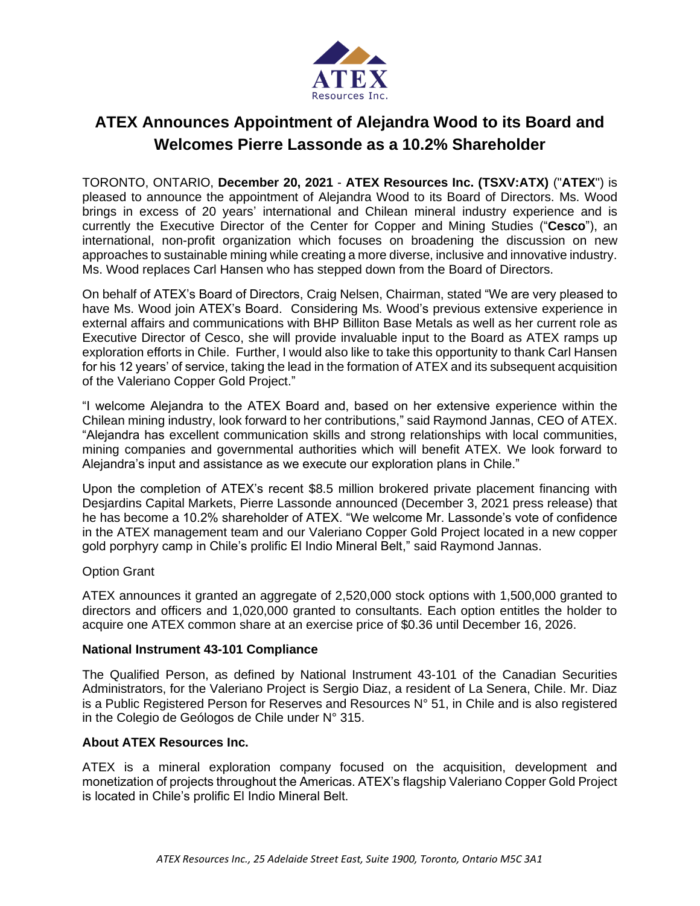

# **ATEX Announces Appointment of Alejandra Wood to its Board and Welcomes Pierre Lassonde as a 10.2% Shareholder**

TORONTO, ONTARIO, **December 20, 2021** - **ATEX Resources Inc. (TSXV:ATX)** ("**ATEX**") is pleased to announce the appointment of Alejandra Wood to its Board of Directors. Ms. Wood brings in excess of 20 years' international and Chilean mineral industry experience and is currently the Executive Director of the Center for Copper and Mining Studies ("**Cesco**"), an international, non-profit organization which focuses on broadening the discussion on new approaches to sustainable mining while creating a more diverse, inclusive and innovative industry. Ms. Wood replaces Carl Hansen who has stepped down from the Board of Directors.

On behalf of ATEX's Board of Directors, Craig Nelsen, Chairman, stated "We are very pleased to have Ms. Wood join ATEX's Board. Considering Ms. Wood's previous extensive experience in external affairs and communications with BHP Billiton Base Metals as well as her current role as Executive Director of Cesco, she will provide invaluable input to the Board as ATEX ramps up exploration efforts in Chile. Further, I would also like to take this opportunity to thank Carl Hansen for his 12 years' of service, taking the lead in the formation of ATEX and its subsequent acquisition of the Valeriano Copper Gold Project."

"I welcome Alejandra to the ATEX Board and, based on her extensive experience within the Chilean mining industry, look forward to her contributions," said Raymond Jannas, CEO of ATEX. "Alejandra has excellent communication skills and strong relationships with local communities, mining companies and governmental authorities which will benefit ATEX. We look forward to Alejandra's input and assistance as we execute our exploration plans in Chile."

Upon the completion of ATEX's recent \$8.5 million brokered private placement financing with Desjardins Capital Markets, Pierre Lassonde announced (December 3, 2021 press release) that he has become a 10.2% shareholder of ATEX. "We welcome Mr. Lassonde's vote of confidence in the ATEX management team and our Valeriano Copper Gold Project located in a new copper gold porphyry camp in Chile's prolific El Indio Mineral Belt," said Raymond Jannas.

## Option Grant

ATEX announces it granted an aggregate of 2,520,000 stock options with 1,500,000 granted to directors and officers and 1,020,000 granted to consultants. Each option entitles the holder to acquire one ATEX common share at an exercise price of \$0.36 until December 16, 2026.

## **National Instrument 43-101 Compliance**

The Qualified Person, as defined by National Instrument 43-101 of the Canadian Securities Administrators, for the Valeriano Project is Sergio Diaz, a resident of La Senera, Chile. Mr. Diaz is a Public Registered Person for Reserves and Resources  $N^{\circ}$  51, in Chile and is also registered in the Colegio de Geólogos de Chile under N° 315.

## **About ATEX Resources Inc.**

ATEX is a mineral exploration company focused on the acquisition, development and monetization of projects throughout the Americas. ATEX's flagship Valeriano Copper Gold Project is located in Chile's prolific El Indio Mineral Belt.